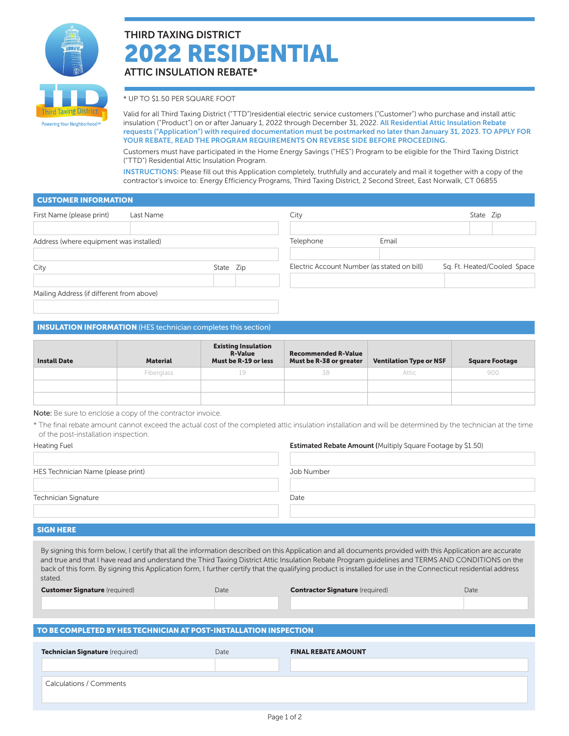

# THIRD TAXING DISTRICT 2022 RESIDENTIAL ATTIC INSULATION REBATE\*

\* UP TO \$1.50 PER SQUARE FOOT

Valid for all Third Taxing District ("TTD")residential electric service customers ("Customer") who purchase and install attic insulation ("Product") on or after January 1, 2022 through December 31, 2022. All Residential Attic Insulation Rebate requests ("Application") with required documentation must be postmarked no later than January 31, 2023. TO APPLY FOR YOUR REBATE, READ THE PROGRAM REQUIREMENTS ON REVERSE SIDE BEFORE PROCEEDING.

Customers must have participated in the Home Energy Savings ("HES") Program to be eligible for the Third Taxing District ("TTD") Residential Attic Insulation Program.

INSTRUCTIONS: Please fill out this Application completely, truthfully and accurately and mail it together with a copy of the contractor's invoice to: Energy Efficiency Programs, Third Taxing District, 2 Second Street, East Norwalk, CT 06855

## CUSTOMER INFORMATION

| First Name (please print)                 | Last Name |           | City      |                                             | State Zip |                             |
|-------------------------------------------|-----------|-----------|-----------|---------------------------------------------|-----------|-----------------------------|
|                                           |           |           |           |                                             |           |                             |
| Address (where equipment was installed)   |           |           | Telephone | Email                                       |           |                             |
| City                                      |           | State Zip |           | Electric Account Number (as stated on bill) |           | Sq. Ft. Heated/Cooled Space |
| Mailing Address (if different from above) |           |           |           |                                             |           |                             |

### INSULATION INFORMATION (HES technician completes this section)

| <b>Install Date</b> | <b>Material</b> | <b>Existing Insulation</b><br><b>R-Value</b><br>Must be R-19 or less | <b>Recommended R-Value</b><br>Must be R-38 or greater | <b>Ventilation Type or NSF</b> | <b>Square Footage</b> |
|---------------------|-----------------|----------------------------------------------------------------------|-------------------------------------------------------|--------------------------------|-----------------------|
|                     | Fiberglass      |                                                                      | 38                                                    | Attic                          | 900                   |
|                     |                 |                                                                      |                                                       |                                |                       |
|                     |                 |                                                                      |                                                       |                                |                       |

Note: Be sure to enclose a copy of the contractor invoice.

\* The final rebate amount cannot exceed the actual cost of the completed attic insulation installation and will be determined by the technician at the time of the post-installation inspection.

| Heating Fuel                       | <b>Estimated Rebate Amount (Multiply Square Footage by \$1.50)</b> |
|------------------------------------|--------------------------------------------------------------------|
| HES Technician Name (please print) | Job Number                                                         |
| <b>Technician Signature</b>        | Date                                                               |

#### SIGN HERE

By signing this form below, I certify that all the information described on this Application and all documents provided with this Application are accurate and true and that I have read and understand the Third Taxing District Attic Insulation Rebate Program guidelines and TERMS AND CONDITIONS on the back of this form. By signing this Application form, I further certify that the qualifying product is installed for use in the Connecticut residential address stated.

| <b>Customer Signature</b> (required) | Date | <b>Contractor Signature</b> (required) | Date |
|--------------------------------------|------|----------------------------------------|------|
|                                      |      |                                        |      |
|                                      |      |                                        |      |

## TO BE COMPLETED BY HES TECHNICIAN AT POST-INSTALLATION INSPECTION

| Technician Signature (required) | Date | <b>FINAL REBATE AMOUNT</b> |
|---------------------------------|------|----------------------------|
|                                 |      |                            |
| <b>Calculations / Comments</b>  |      |                            |
|                                 |      |                            |